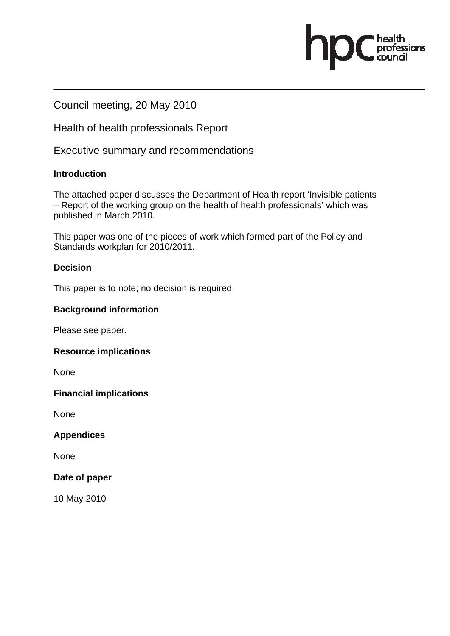Council meeting, 20 May 2010

Health of health professionals Report

Executive summary and recommendations

### **Introduction**

The attached paper discusses the Department of Health report 'Invisible patients – Report of the working group on the health of health professionals' which was published in March 2010.

fessions

This paper was one of the pieces of work which formed part of the Policy and Standards workplan for 2010/2011.

# **Decision**

This paper is to note; no decision is required.

# **Background information**

Please see paper.

### **Resource implications**

None

### **Financial implications**

None

### **Appendices**

None

### **Date of paper**

10 May 2010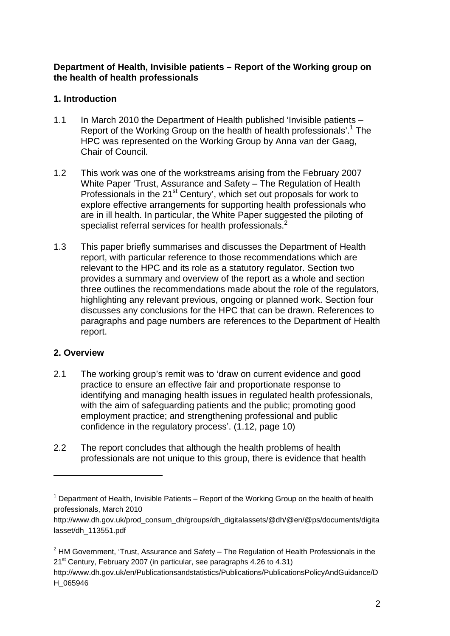#### **Department of Health, Invisible patients – Report of the Working group on the health of health professionals**

## **1. Introduction**

- 1.1 In March 2010 the Department of Health published 'Invisible patients Report of the Working Group on the health of health professionals'.<sup>1</sup> The HPC was represented on the Working Group by Anna van der Gaag, Chair of Council.
- 1.2 This work was one of the workstreams arising from the February 2007 White Paper 'Trust, Assurance and Safety – The Regulation of Health Professionals in the 21<sup>st</sup> Century', which set out proposals for work to explore effective arrangements for supporting health professionals who are in ill health. In particular, the White Paper suggested the piloting of specialist referral services for health professionals.<sup>2</sup>
- 1.3 This paper briefly summarises and discusses the Department of Health report, with particular reference to those recommendations which are relevant to the HPC and its role as a statutory regulator. Section two provides a summary and overview of the report as a whole and section three outlines the recommendations made about the role of the regulators, highlighting any relevant previous, ongoing or planned work. Section four discusses any conclusions for the HPC that can be drawn. References to paragraphs and page numbers are references to the Department of Health report.

### **2. Overview**

 $\overline{a}$ 

- 2.1 The working group's remit was to 'draw on current evidence and good practice to ensure an effective fair and proportionate response to identifying and managing health issues in regulated health professionals, with the aim of safeguarding patients and the public; promoting good employment practice; and strengthening professional and public confidence in the regulatory process'. (1.12, page 10)
- 2.2 The report concludes that although the health problems of health professionals are not unique to this group, there is evidence that health

 $1$  Department of Health, Invisible Patients – Report of the Working Group on the health of health professionals, March 2010

http://www.dh.gov.uk/prod\_consum\_dh/groups/dh\_digitalassets/@dh/@en/@ps/documents/digita lasset/dh\_113551.pdf

 $2$  HM Government, 'Trust, Assurance and Safety – The Regulation of Health Professionals in the 21<sup>st</sup> Century, February 2007 (in particular, see paragraphs 4.26 to 4.31)

http://www.dh.gov.uk/en/Publicationsandstatistics/Publications/PublicationsPolicyAndGuidance/D H\_065946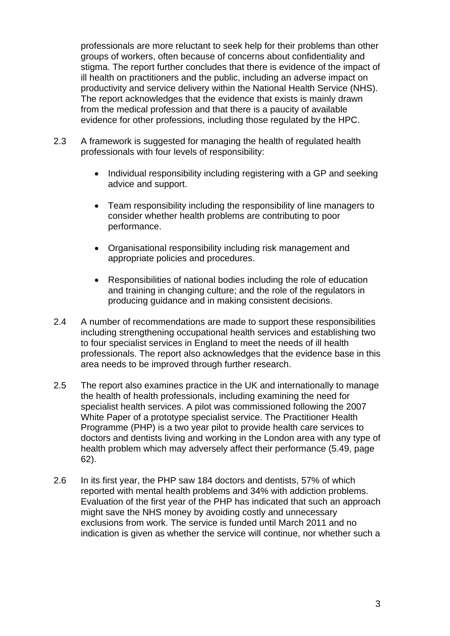professionals are more reluctant to seek help for their problems than other groups of workers, often because of concerns about confidentiality and stigma. The report further concludes that there is evidence of the impact of ill health on practitioners and the public, including an adverse impact on productivity and service delivery within the National Health Service (NHS). The report acknowledges that the evidence that exists is mainly drawn from the medical profession and that there is a paucity of available evidence for other professions, including those regulated by the HPC.

- 2.3 A framework is suggested for managing the health of regulated health professionals with four levels of responsibility:
	- Individual responsibility including registering with a GP and seeking advice and support.
	- Team responsibility including the responsibility of line managers to consider whether health problems are contributing to poor performance.
	- Organisational responsibility including risk management and appropriate policies and procedures.
	- Responsibilities of national bodies including the role of education and training in changing culture; and the role of the regulators in producing guidance and in making consistent decisions.
- 2.4 A number of recommendations are made to support these responsibilities including strengthening occupational health services and establishing two to four specialist services in England to meet the needs of ill health professionals. The report also acknowledges that the evidence base in this area needs to be improved through further research.
- 2.5 The report also examines practice in the UK and internationally to manage the health of health professionals, including examining the need for specialist health services. A pilot was commissioned following the 2007 White Paper of a prototype specialist service. The Practitioner Health Programme (PHP) is a two year pilot to provide health care services to doctors and dentists living and working in the London area with any type of health problem which may adversely affect their performance (5.49, page 62).
- 2.6 In its first year, the PHP saw 184 doctors and dentists, 57% of which reported with mental health problems and 34% with addiction problems. Evaluation of the first year of the PHP has indicated that such an approach might save the NHS money by avoiding costly and unnecessary exclusions from work. The service is funded until March 2011 and no indication is given as whether the service will continue, nor whether such a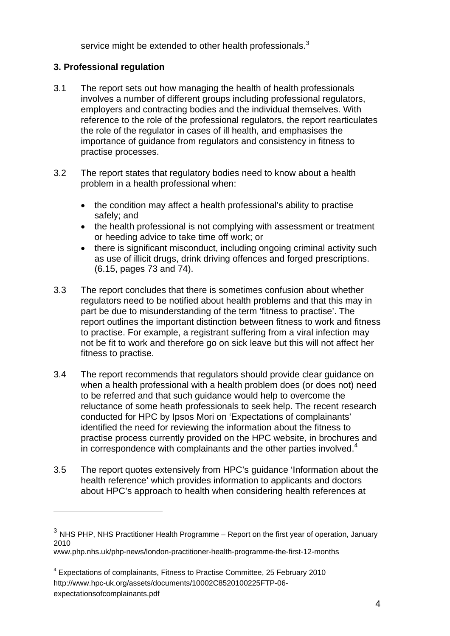service might be extended to other health professionals. $3$ 

# **3. Professional regulation**

 $\overline{a}$ 

- 3.1 The report sets out how managing the health of health professionals involves a number of different groups including professional regulators, employers and contracting bodies and the individual themselves. With reference to the role of the professional regulators, the report rearticulates the role of the regulator in cases of ill health, and emphasises the importance of guidance from regulators and consistency in fitness to practise processes.
- 3.2 The report states that regulatory bodies need to know about a health problem in a health professional when:
	- the condition may affect a health professional's ability to practise safely; and
	- the health professional is not complying with assessment or treatment or heeding advice to take time off work; or
	- there is significant misconduct, including ongoing criminal activity such as use of illicit drugs, drink driving offences and forged prescriptions. (6.15, pages 73 and 74).
- 3.3 The report concludes that there is sometimes confusion about whether regulators need to be notified about health problems and that this may in part be due to misunderstanding of the term 'fitness to practise'. The report outlines the important distinction between fitness to work and fitness to practise. For example, a registrant suffering from a viral infection may not be fit to work and therefore go on sick leave but this will not affect her fitness to practise.
- 3.4 The report recommends that regulators should provide clear guidance on when a health professional with a health problem does (or does not) need to be referred and that such guidance would help to overcome the reluctance of some heath professionals to seek help. The recent research conducted for HPC by Ipsos Mori on 'Expectations of complainants' identified the need for reviewing the information about the fitness to practise process currently provided on the HPC website, in brochures and in correspondence with complainants and the other parties involved. $4$
- 3.5 The report quotes extensively from HPC's guidance 'Information about the health reference' which provides information to applicants and doctors about HPC's approach to health when considering health references at

 $3$  NHS PHP, NHS Practitioner Health Programme – Report on the first year of operation, January 2010 www.php.nhs.uk/php-news/london-practitioner-health-programme-the-first-12-months

<sup>&</sup>lt;sup>4</sup> Expectations of complainants, Fitness to Practise Committee, 25 February 2010 http://www.hpc-uk.org/assets/documents/10002C8520100225FTP-06 expectationsofcomplainants.pdf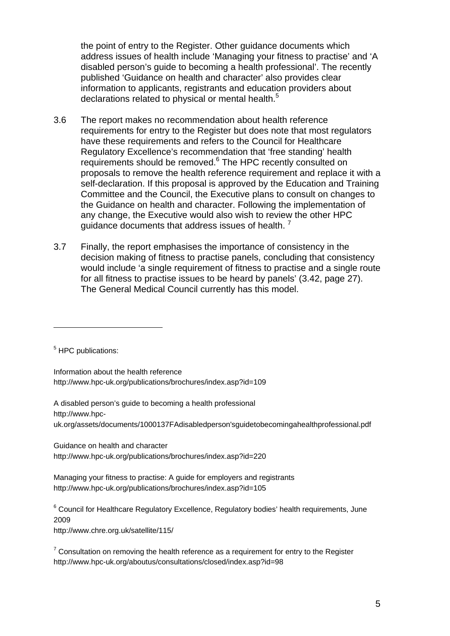the point of entry to the Register. Other guidance documents which address issues of health include 'Managing your fitness to practise' and 'A disabled person's guide to becoming a health professional'. The recently published 'Guidance on health and character' also provides clear information to applicants, registrants and education providers about declarations related to physical or mental health.<sup>5</sup>

- 3.6 The report makes no recommendation about health reference requirements for entry to the Register but does note that most regulators have these requirements and refers to the Council for Healthcare Regulatory Excellence's recommendation that 'free standing' health requirements should be removed.<sup>6</sup> The HPC recently consulted on proposals to remove the health reference requirement and replace it with a self-declaration. If this proposal is approved by the Education and Training Committee and the Council, the Executive plans to consult on changes to the Guidance on health and character. Following the implementation of any change, the Executive would also wish to review the other HPC guidance documents that address issues of health.<sup>7</sup>
- 3.7 Finally, the report emphasises the importance of consistency in the decision making of fitness to practise panels, concluding that consistency would include 'a single requirement of fitness to practise and a single route for all fitness to practise issues to be heard by panels' (3.42, page 27). The General Medical Council currently has this model.

<sup>5</sup> HPC publications:

 $\overline{a}$ 

Information about the health reference http://www.hpc-uk.org/publications/brochures/index.asp?id=109

A disabled person's guide to becoming a health professional http://www.hpcuk.org/assets/documents/1000137FAdisabledperson'sguidetobecomingahealthprofessional.pdf

Guidance on health and character http://www.hpc-uk.org/publications/brochures/index.asp?id=220

Managing your fitness to practise: A guide for employers and registrants http://www.hpc-uk.org/publications/brochures/index.asp?id=105

 $6$  Council for Healthcare Regulatory Excellence, Regulatory bodies' health requirements, June 2009

http://www.chre.org.uk/satellite/115/

 $7$  Consultation on removing the health reference as a requirement for entry to the Register http://www.hpc-uk.org/aboutus/consultations/closed/index.asp?id=98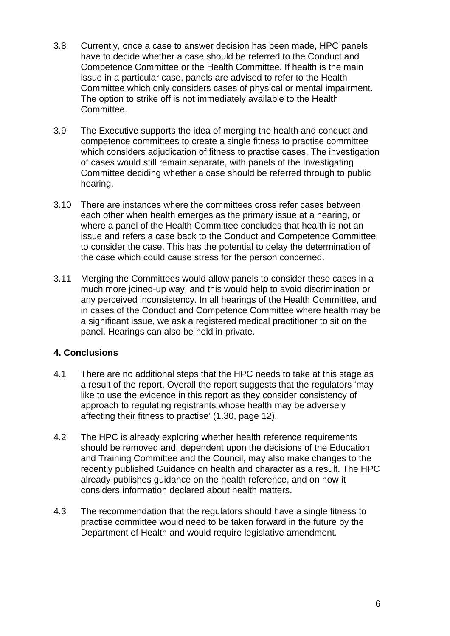- 3.8 Currently, once a case to answer decision has been made, HPC panels have to decide whether a case should be referred to the Conduct and Competence Committee or the Health Committee. If health is the main issue in a particular case, panels are advised to refer to the Health Committee which only considers cases of physical or mental impairment. The option to strike off is not immediately available to the Health Committee.
- 3.9 The Executive supports the idea of merging the health and conduct and competence committees to create a single fitness to practise committee which considers adjudication of fitness to practise cases. The investigation of cases would still remain separate, with panels of the Investigating Committee deciding whether a case should be referred through to public hearing.
- 3.10 There are instances where the committees cross refer cases between each other when health emerges as the primary issue at a hearing, or where a panel of the Health Committee concludes that health is not an issue and refers a case back to the Conduct and Competence Committee to consider the case. This has the potential to delay the determination of the case which could cause stress for the person concerned.
- 3.11 Merging the Committees would allow panels to consider these cases in a much more joined-up way, and this would help to avoid discrimination or any perceived inconsistency. In all hearings of the Health Committee, and in cases of the Conduct and Competence Committee where health may be a significant issue, we ask a registered medical practitioner to sit on the panel. Hearings can also be held in private.

### **4. Conclusions**

- 4.1 There are no additional steps that the HPC needs to take at this stage as a result of the report. Overall the report suggests that the regulators 'may like to use the evidence in this report as they consider consistency of approach to regulating registrants whose health may be adversely affecting their fitness to practise' (1.30, page 12).
- 4.2 The HPC is already exploring whether health reference requirements should be removed and, dependent upon the decisions of the Education and Training Committee and the Council, may also make changes to the recently published Guidance on health and character as a result. The HPC already publishes guidance on the health reference, and on how it considers information declared about health matters.
- 4.3 The recommendation that the regulators should have a single fitness to practise committee would need to be taken forward in the future by the Department of Health and would require legislative amendment.